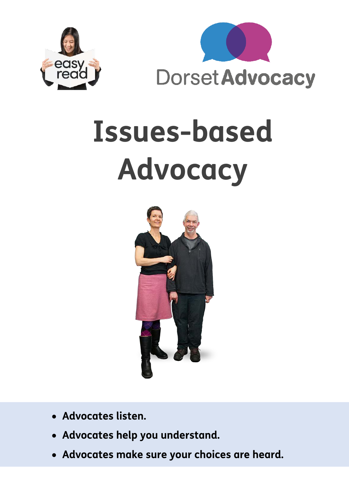



# **Issues-based Advocacy**



- **Advocates listen.**
- **Advocates help you understand.**
- **Advocates make sure your choices are heard.**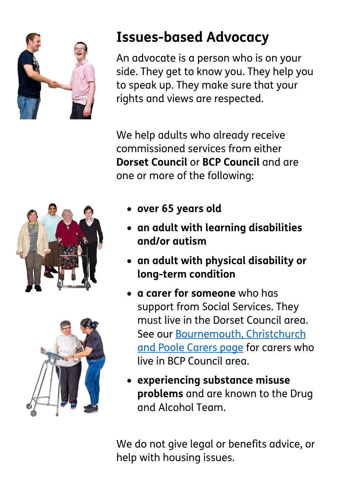

### **Issues-based Advocacy**

An advocate is a person who is on your side. They get to know you. They help you to speak up. They make sure that your rights and views are respected.

We help adults who already receive commissioned services from either **Dorset Council** or **BCP Council** and are one or more of the following:





- **over 65 years old**
- **an adult with learning disabilities and/or autism**
- **an adult with physical disability or long-term condition**
- **a carer for someone** who has support from Social Services. They must live in the Dorset Council area. See our [Bournemouth, Christchurch](https://www.dorsetadvocacy.co.uk/advocacy/support-for-carers/)  [and Poole Carers page](https://www.dorsetadvocacy.co.uk/advocacy/support-for-carers/) for carers who live in BCP Council area.
- **experiencing substance misuse problems** and are known to the Drug and Alcohol Team.

We do not give legal or benefits advice, or help with housing issues.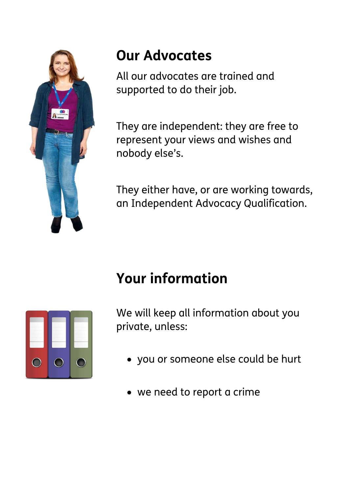

### **Our Advocates**

All our advocates are trained and supported to do their job.

They are independent: they are free to represent your views and wishes and nobody else's.

They either have, or are working towards, an Independent Advocacy Qualification.

## **Your information**



We will keep all information about you private, unless:

- you or someone else could be hurt
- we need to report a crime